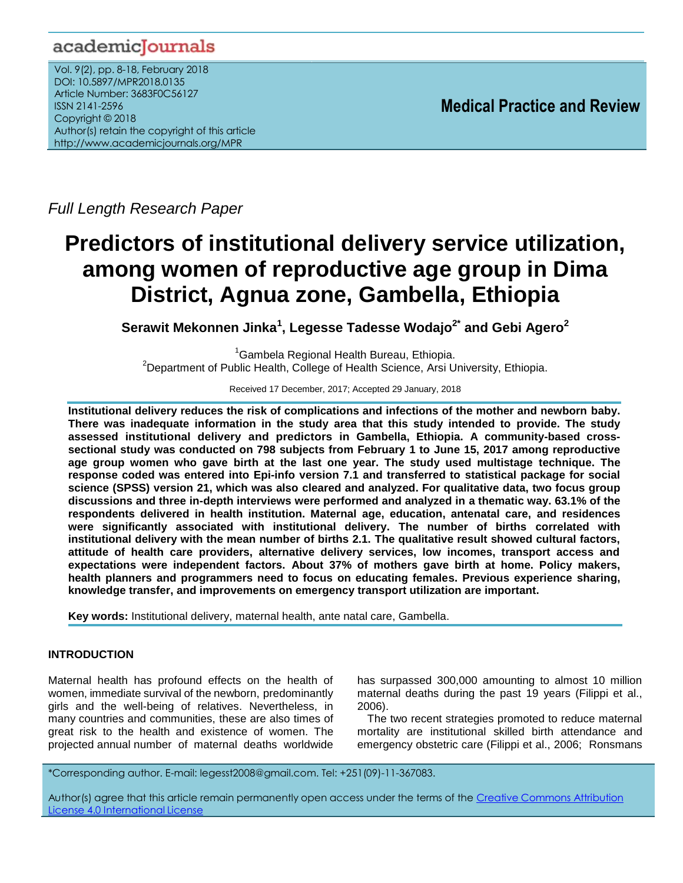## academicJournals

Vol. 9(2), pp. 8-18, February 2018 DOI: 10.5897/MPR2018.0135 Article Number: 3683F0C56127 ISSN 2141-2596 Copyright © 2018 Author(s) retain the copyright of this article http://www.academicjournals.org/MPR

**Medical Practice and Review**

*Full Length Research Paper*

# **Predictors of institutional delivery service utilization, among women of reproductive age group in Dima District, Agnua zone, Gambella, Ethiopia**

**Serawit Mekonnen Jinka<sup>1</sup> , Legesse Tadesse Wodajo2\* and Gebi Agero<sup>2</sup>**

<sup>1</sup>Gambela Regional Health Bureau, Ethiopia. <sup>2</sup>Department of Public Health, College of Health Science, Arsi University, Ethiopia.

Received 17 December, 2017; Accepted 29 January, 2018

**Institutional delivery reduces the risk of complications and infections of the mother and newborn baby. There was inadequate information in the study area that this study intended to provide. The study assessed institutional delivery and predictors in Gambella, Ethiopia. A community-based crosssectional study was conducted on 798 subjects from February 1 to June 15, 2017 among reproductive age group women who gave birth at the last one year. The study used multistage technique. The response coded was entered into Epi-info version 7.1 and transferred to statistical package for social science (SPSS) version 21, which was also cleared and analyzed. For qualitative data, two focus group discussions and three in-depth interviews were performed and analyzed in a thematic way. 63.1% of the respondents delivered in health institution. Maternal age, education, antenatal care, and residences were significantly associated with institutional delivery. The number of births correlated with institutional delivery with the mean number of births 2.1. The qualitative result showed cultural factors, attitude of health care providers, alternative delivery services, low incomes, transport access and expectations were independent factors. About 37% of mothers gave birth at home. Policy makers, health planners and programmers need to focus on educating females. Previous experience sharing, knowledge transfer, and improvements on emergency transport utilization are important.**

**Key words:** Institutional delivery, maternal health, ante natal care, Gambella.

## **INTRODUCTION**

Maternal health has profound effects on the health of women, immediate survival of the newborn, predominantly girls and the well-being of relatives. Nevertheless, in many countries and communities, these are also times of great risk to the health and existence of women. The projected annual number of maternal deaths worldwide

has surpassed 300,000 amounting to almost 10 million maternal deaths during the past 19 years (Filippi et al., 2006).

The two recent strategies promoted to reduce maternal mortality are institutional skilled birth attendance and emergency obstetric care (Filippi et al., 2006; Ronsmans

\*Corresponding author. E-mail: [legesst2008@gmail.com.](mailto:legesst2008@gmail.com) Tel: +251(09)-11-367083.

Author(s) agree that this article remain permanently open access under the terms of the Creative Commons Attribution License 4.0 [International](http://creativecommons.org/licenses/by/4.0/deed.en_US) License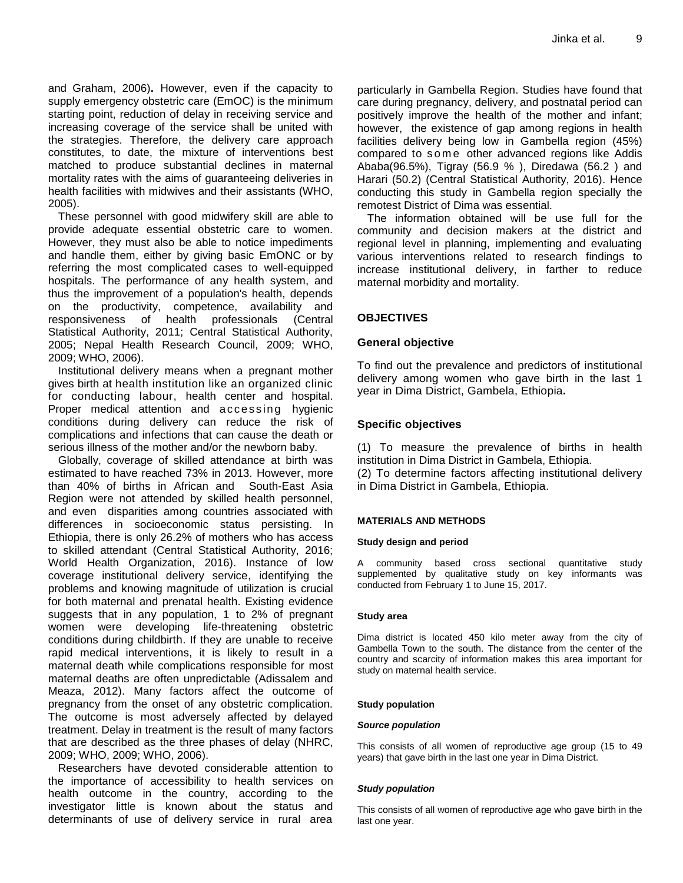and Graham, 2006)**.** However, even if the capacity to supply emergency obstetric care (EmOC) is the minimum starting point, reduction of delay in receiving service and increasing coverage of the service shall be united with the strategies. Therefore, the delivery care approach constitutes, to date, the mixture of interventions best matched to produce substantial declines in maternal mortality rates with the aims of guaranteeing deliveries in health facilities with midwives and their assistants (WHO, 2005).

These personnel with good midwifery skill are able to provide adequate essential obstetric care to women. However, they must also be able to notice impediments and handle them, either by giving basic EmONC or by referring the most complicated cases to well-equipped hospitals. The performance of any health system, and thus the improvement of a population's health, depends on the productivity, competence, availability and responsiveness of health professionals (Central Statistical Authority, 2011; Central Statistical Authority, 2005; Nepal Health Research Council, 2009; WHO, 2009; WHO, 2006).

Institutional delivery means when a pregnant mother gives birth at health institution like an organized clinic for conducting labour, health center and hospital. Proper medical attention and accessing hygienic conditions during delivery can reduce the risk of complications and infections that can cause the death or serious illness of the mother and/or the newborn baby.

Globally, coverage of skilled attendance at birth was estimated to have reached 73% in 2013. However, more than 40% of births in African and South-East Asia Region were not attended by skilled health personnel, and even disparities among countries associated with differences in socioeconomic status persisting. In Ethiopia, there is only 26.2% of mothers who has access to skilled attendant (Central Statistical Authority, 2016; World Health Organization, 2016). Instance of low coverage institutional delivery service, identifying the problems and knowing magnitude of utilization is crucial for both maternal and prenatal health. Existing evidence suggests that in any population, 1 to 2% of pregnant women were developing life-threatening obstetric conditions during childbirth. If they are unable to receive rapid medical interventions, it is likely to result in a maternal death while complications responsible for most maternal deaths are often unpredictable (Adissalem and Meaza, 2012). Many factors affect the outcome of pregnancy from the onset of any obstetric complication. The outcome is most adversely affected by delayed treatment. Delay in treatment is the result of many factors that are described as the three phases of delay (NHRC, 2009; WHO, 2009; WHO, 2006).

Researchers have devoted considerable attention to the importance of accessibility to health services on health outcome in the country, according to the investigator little is known about the status and determinants of use of delivery service in rural area particularly in Gambella Region. Studies have found that care during pregnancy, delivery, and postnatal period can positively improve the health of the mother and infant; however, the existence of gap among regions in health facilities delivery being low in Gambella region (45%) compared to some other advanced regions like Addis Ababa(96.5%), Tigray (56.9 % ), Diredawa (56.2 ) and Harari (50.2) (Central Statistical Authority, 2016). Hence conducting this study in Gambella region specially the remotest District of Dima was essential.

The information obtained will be use full for the community and decision makers at the district and regional level in planning, implementing and evaluating various interventions related to research findings to increase institutional delivery, in farther to reduce maternal morbidity and mortality.

## **OBJECTIVES**

## **General objective**

To find out the prevalence and predictors of institutional delivery among women who gave birth in the last 1 year in Dima District, Gambela, Ethiopia**.**

## **Specific objectives**

(1) To measure the prevalence of births in health institution in Dima District in Gambela, Ethiopia. (2) To determine factors affecting institutional delivery in Dima District in Gambela, Ethiopia.

## **MATERIALS AND METHODS**

#### **Study design and period**

A community based cross sectional quantitative study supplemented by qualitative study on key informants was conducted from February 1 to June 15, 2017.

#### **Study area**

Dima district is located 450 kilo meter away from the city of Gambella Town to the south. The distance from the center of the country and scarcity of information makes this area important for study on maternal health service.

#### **Study population**

#### *Source population*

This consists of all women of reproductive age group (15 to 49 years) that gave birth in the last one year in Dima District.

## *Study population*

This consists of all women of reproductive age who gave birth in the last one year.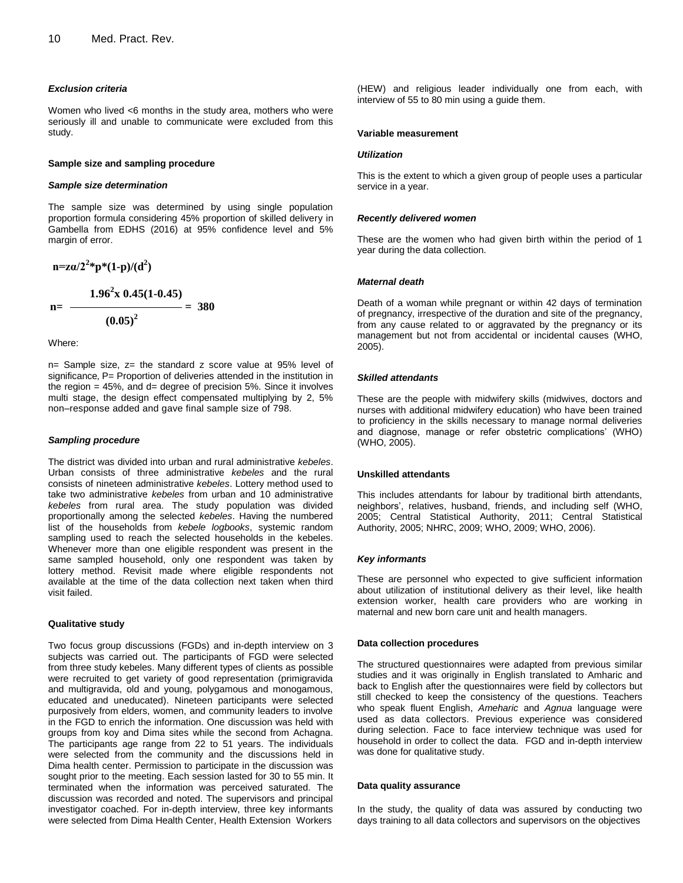#### *Exclusion criteria*

Women who lived <6 months in the study area, mothers who were seriously ill and unable to communicate were excluded from this study.

#### **Sample size and sampling procedure**

#### *Sample size determination*

The sample size was determined by using single population proportion formula considering 45% proportion of skilled delivery in Gambella from EDHS (2016) at 95% confidence level and 5% margin of error.

$$
n = z\alpha/2^{2*}p^*(1-p)/(d^2)
$$
  

$$
n = \frac{1.96^2x \ 0.45(1-0.45)}{(0.05)^2} = 380
$$

Where:

n= Sample size, z= the standard z score value at 95% level of significance, P= Proportion of deliveries attended in the institution in the region  $= 45\%$ , and  $d=$  degree of precision 5%. Since it involves multi stage, the design effect compensated multiplying by 2, 5% non–response added and gave final sample size of 798.

#### *Sampling procedure*

The district was divided into urban and rural administrative *kebeles*. Urban consists of three administrative *kebeles* and the rural consists of nineteen administrative *kebeles*. Lottery method used to take two administrative *kebeles* from urban and 10 administrative *kebeles* from rural area. The study population was divided proportionally among the selected *kebeles*. Having the numbered list of the households from *kebele logbooks*, systemic random sampling used to reach the selected households in the kebeles. Whenever more than one eligible respondent was present in the same sampled household, only one respondent was taken by lottery method. Revisit made where eligible respondents not available at the time of the data collection next taken when third visit failed.

#### **Qualitative study**

Two focus group discussions (FGDs) and in-depth interview on 3 subjects was carried out. The participants of FGD were selected from three study kebeles. Many different types of clients as possible were recruited to get variety of good representation (primigravida and multigravida, old and young, polygamous and monogamous, educated and uneducated). Nineteen participants were selected purposively from elders, women, and community leaders to involve in the FGD to enrich the information. One discussion was held with groups from koy and Dima sites while the second from Achagna. The participants age range from 22 to 51 years. The individuals were selected from the community and the discussions held in Dima health center. Permission to participate in the discussion was sought prior to the meeting. Each session lasted for 30 to 55 min. It terminated when the information was perceived saturated. The discussion was recorded and noted. The supervisors and principal investigator coached. For in-depth interview, three key informants were selected from Dima Health Center, Health Extension Workers days and the sumplifier of the summation of the summation of a summation of the summation of the summation of the summation of the summation of the summation of the objectives and summation of the objectives and summation

(HEW) and religious leader individually one from each, with interview of 55 to 80 min using a guide them.

#### **Variable measurement**

#### *Utilization*

This is the extent to which a given group of people uses a particular service in a year.

#### *Recently delivered women*

These are the women who had given birth within the period of 1 year during the data collection.

#### *Maternal death*

Death of a woman while pregnant or within 42 days of termination of pregnancy, irrespective of the duration and site of the pregnancy, from any cause related to or aggravated by the pregnancy or its management but not from accidental or incidental causes (WHO, 2005).

#### *Skilled attendants*

These are the people with midwifery skills (midwives, doctors and nurses with additional midwifery education) who have been trained to proficiency in the skills necessary to manage normal deliveries and diagnose, manage or refer obstetric complications' (WHO) (WHO, 2005).

#### **Unskilled attendants**

This includes attendants for labour by traditional birth attendants, neighbors', relatives, husband, friends, and including self (WHO, 2005; Central Statistical Authority, 2011; Central Statistical Authority, 2005; NHRC, 2009; WHO, 2009; WHO, 2006).

#### *Key informants*

These are personnel who expected to give sufficient information about utilization of institutional delivery as their level, like health extension worker, health care providers who are working in maternal and new born care unit and health managers.

#### **Data collection procedures**

The structured questionnaires were adapted from previous similar studies and it was originally in English translated to Amharic and back to English after the questionnaires were field by collectors but still checked to keep the consistency of the questions. Teachers who speak fluent English, *Ameharic* and *Agnua* language were used as data collectors. Previous experience was considered during selection. Face to face interview technique was used for household in order to collect the data. FGD and in-depth interview was done for qualitative study.

#### **Data quality assurance**

In the study, the quality of data was assured by conducting two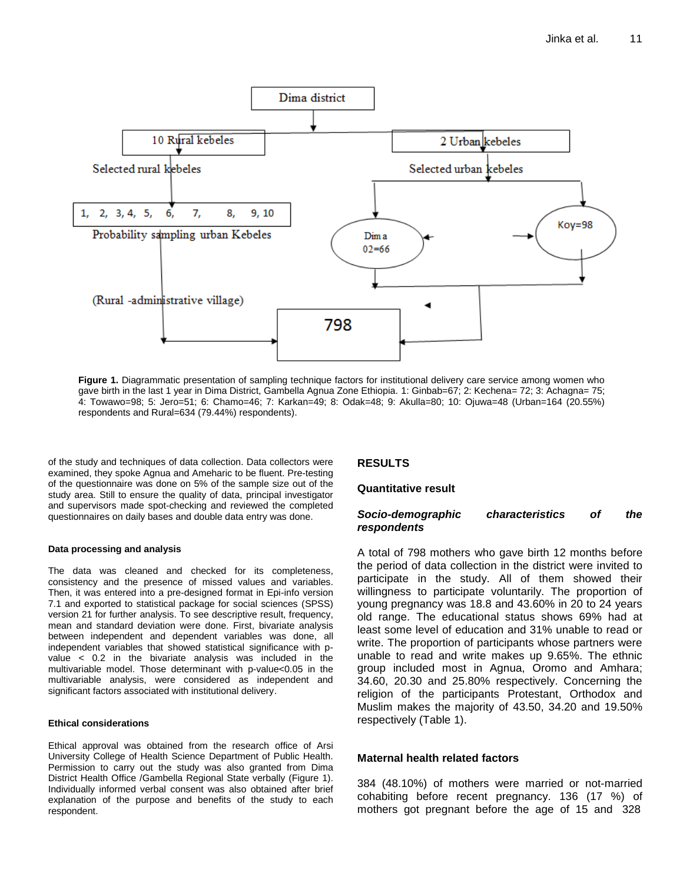

**Figure 1.** Diagrammatic presentation of sampling technique factors for institutional delivery care service among women who gave birth in the last 1 year in Dima District, Gambella Agnua Zone Ethiopia. 1: Ginbab=67; 2: Kechena= 72; 3: Achagna= 75; 4: Towawo=98; 5: Jero=51; 6: Chamo=46; 7: Karkan=49; 8: Odak=48; 9: Akulla=80; 10: Ojuwa=48 (Urban=164 (20.55%) respondents and Rural=634 (79.44%) respondents).

of the study and techniques of data collection. Data collectors were examined, they spoke Agnua and Ameharic to be fluent. Pre-testing of the questionnaire was done on 5% of the sample size out of the study area. Still to ensure the quality of data, principal investigator and supervisors made spot-checking and reviewed the completed questionnaires on daily bases and double data entry was done.

#### **Data processing and analysis**

The data was cleaned and checked for its completeness, consistency and the presence of missed values and variables. Then, it was entered into a pre-designed format in Epi-info version 7.1 and exported to statistical package for social sciences (SPSS) version 21 for further analysis. To see descriptive result, frequency, mean and standard deviation were done. First, bivariate analysis between independent and dependent variables was done, all independent variables that showed statistical significance with pvalue < 0.2 in the bivariate analysis was included in the multivariable model. Those determinant with p-value<0.05 in the multivariable analysis, were considered as independent and significant factors associated with institutional delivery.

#### **Ethical considerations**

Ethical approval was obtained from the research office of Arsi University College of Health Science Department of Public Health. Permission to carry out the study was also granted from Dima District Health Office /Gambella Regional State verbally (Figure 1). Individually informed verbal consent was also obtained after brief explanation of the purpose and benefits of the study to each respondent.

## **RESULTS**

## **Quantitative result**

## *Socio-demographic characteristics of the respondents*

A total of 798 mothers who gave birth 12 months before the period of data collection in the district were invited to participate in the study. All of them showed their willingness to participate voluntarily. The proportion of young pregnancy was 18.8 and 43.60% in 20 to 24 years old range. The educational status shows 69% had at least some level of education and 31% unable to read or write. The proportion of participants whose partners were unable to read and write makes up 9.65%. The ethnic group included most in Agnua, Oromo and Amhara; 34.60, 20.30 and 25.80% respectively. Concerning the religion of the participants Protestant, Orthodox and Muslim makes the majority of 43.50, 34.20 and 19.50% respectively (Table 1).

## **Maternal health related factors**

384 (48.10%) of mothers were married or not-married cohabiting before recent pregnancy. 136 (17 %) of mothers got pregnant before the age of 15 and 328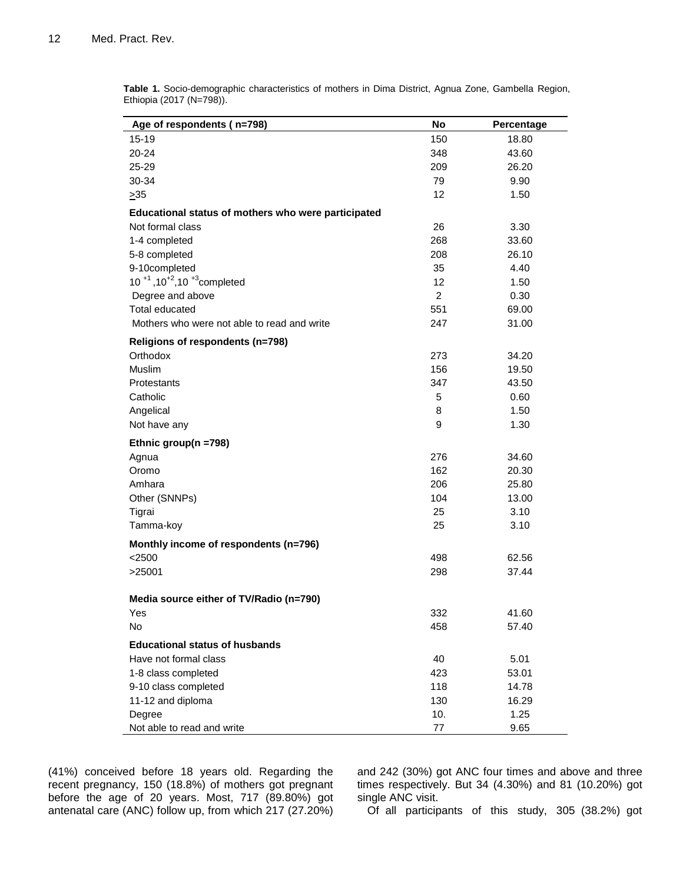| Age of respondents (n=798)                          | No             | Percentage |
|-----------------------------------------------------|----------------|------------|
| 15-19                                               | 150            | 18.80      |
| 20-24                                               | 348            | 43.60      |
| 25-29                                               | 209            | 26.20      |
| 30-34                                               | 79             | 9.90       |
| $\geq 35$                                           | 12             | 1.50       |
| Educational status of mothers who were participated |                |            |
| Not formal class                                    | 26             | 3.30       |
| 1-4 completed                                       | 268            | 33.60      |
| 5-8 completed                                       | 208            | 26.10      |
| 9-10completed                                       | 35             | 4.40       |
| 10 $+1$ , 10 $+2$ , 10 $+3$ completed               | 12             | 1.50       |
| Degree and above                                    | $\overline{2}$ | 0.30       |
| Total educated                                      | 551            | 69.00      |
| Mothers who were not able to read and write         | 247            | 31.00      |
| Religions of respondents (n=798)                    |                |            |
| Orthodox                                            | 273            | 34.20      |
| <b>Muslim</b>                                       | 156            | 19.50      |
| Protestants                                         | 347            | 43.50      |
| Catholic                                            | 5              | 0.60       |
| Angelical                                           | 8              | 1.50       |
| Not have any                                        | 9              | 1.30       |
| Ethnic group(n =798)                                |                |            |
| Agnua                                               | 276            | 34.60      |
| Oromo                                               | 162            | 20.30      |
| Amhara                                              | 206            | 25.80      |
| Other (SNNPs)                                       | 104            | 13.00      |
| Tigrai                                              | 25             | 3.10       |
| Tamma-koy                                           | 25             | 3.10       |
| Monthly income of respondents (n=796)               |                |            |
| $<$ 2500                                            | 498            | 62.56      |
| >25001                                              | 298            | 37.44      |
| Media source either of TV/Radio (n=790)             |                |            |
| Yes                                                 | 332            | 41.60      |
| No                                                  | 458            | 57.40      |
| <b>Educational status of husbands</b>               |                |            |
| Have not formal class                               | 40             | 5.01       |
| 1-8 class completed                                 | 423            | 53.01      |
| 9-10 class completed                                | 118            | 14.78      |
| 11-12 and diploma                                   | 130            | 16.29      |
| Degree                                              | 10.            | 1.25       |
| Not able to read and write                          | 77             | 9.65       |

**Table 1.** Socio-demographic characteristics of mothers in Dima District, Agnua Zone, Gambella Region, Ethiopia (2017 (N=798)).

(41%) conceived before 18 years old. Regarding the recent pregnancy, 150 (18.8%) of mothers got pregnant before the age of 20 years. Most, 717 (89.80%) got antenatal care (ANC) follow up, from which 217 (27.20%) and 242 (30%) got ANC four times and above and three times respectively. But 34 (4.30%) and 81 (10.20%) got single ANC visit.

Of all participants of this study, 305 (38.2%) got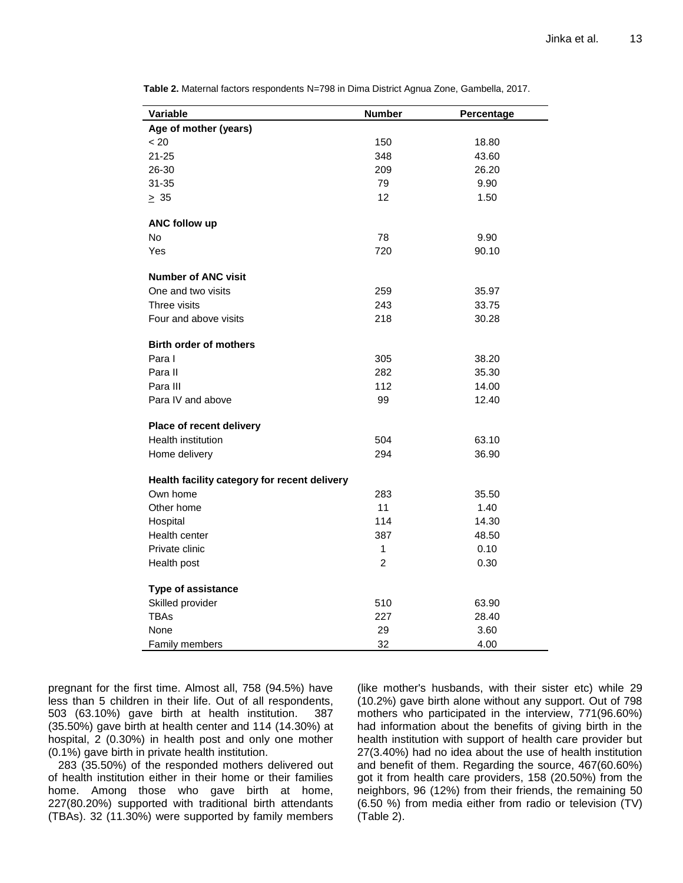| Variable                                     | <b>Number</b>  | Percentage |
|----------------------------------------------|----------------|------------|
| Age of mother (years)                        |                |            |
| < 20                                         | 150            | 18.80      |
| $21 - 25$                                    | 348            | 43.60      |
| 26-30                                        | 209            | 26.20      |
| 31-35                                        | 79             | 9.90       |
| $\geq 35$                                    | 12             | 1.50       |
| ANC follow up                                |                |            |
| <b>No</b>                                    | 78             | 9.90       |
| Yes                                          | 720            | 90.10      |
| <b>Number of ANC visit</b>                   |                |            |
| One and two visits                           | 259            | 35.97      |
| Three visits                                 | 243            | 33.75      |
| Four and above visits                        | 218            | 30.28      |
| <b>Birth order of mothers</b>                |                |            |
| Para I                                       | 305            | 38.20      |
| Para II                                      | 282            | 35.30      |
| Para III                                     | 112            | 14.00      |
| Para IV and above                            | 99             | 12.40      |
| Place of recent delivery                     |                |            |
| Health institution                           | 504            | 63.10      |
| Home delivery                                | 294            | 36.90      |
| Health facility category for recent delivery |                |            |
| Own home                                     | 283            | 35.50      |
| Other home                                   | 11             | 1.40       |
| Hospital                                     | 114            | 14.30      |
| Health center                                | 387            | 48.50      |
| Private clinic                               | 1              | 0.10       |
| Health post                                  | $\overline{2}$ | 0.30       |
| Type of assistance                           |                |            |
| Skilled provider                             | 510            | 63.90      |
| <b>TBAs</b>                                  | 227            | 28.40      |
| None                                         | 29             | 3.60       |
| Family members                               | 32             | 4.00       |

**Table 2.** Maternal factors respondents N=798 in Dima District Agnua Zone, Gambella, 2017.

pregnant for the first time. Almost all, 758 (94.5%) have less than 5 children in their life. Out of all respondents, 503 (63.10%) gave birth at health institution. 387 (35.50%) gave birth at health center and 114 (14.30%) at hospital, 2 (0.30%) in health post and only one mother (0.1%) gave birth in private health institution.

283 (35.50%) of the responded mothers delivered out of health institution either in their home or their families home. Among those who gave birth at home, 227(80.20%) supported with traditional birth attendants (TBAs). 32 (11.30%) were supported by family members

(like mother's husbands, with their sister etc) while 29 (10.2%) gave birth alone without any support. Out of 798 mothers who participated in the interview, 771(96.60%) had information about the benefits of giving birth in the health institution with support of health care provider but 27(3.40%) had no idea about the use of health institution and benefit of them. Regarding the source, 467(60.60%) got it from health care providers, 158 (20.50%) from the neighbors, 96 (12%) from their friends, the remaining 50 (6.50 %) from media either from radio or television (TV) (Table 2).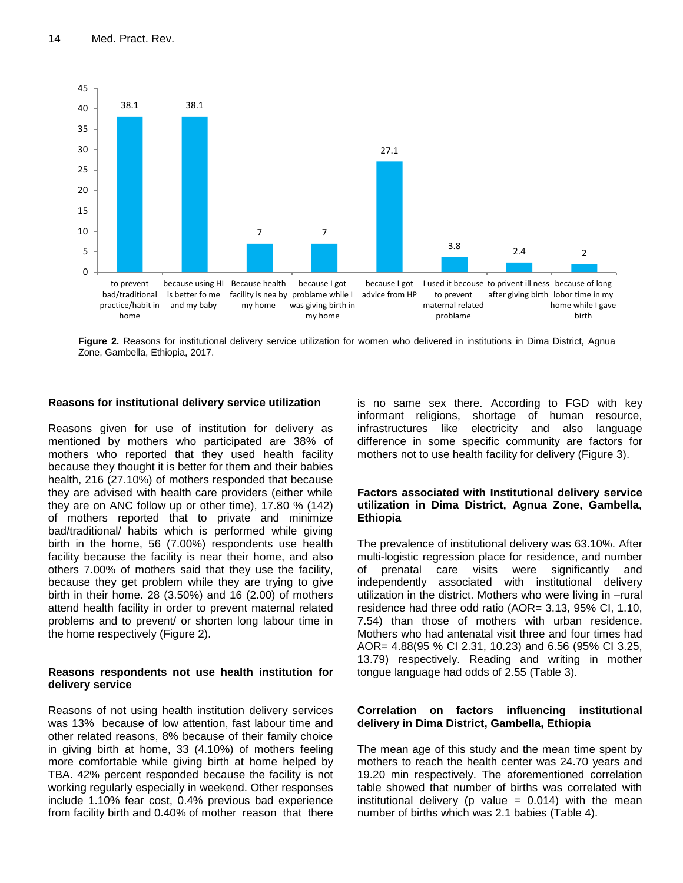

**Figure 2.** Reasons for institutional delivery service utilization for women who delivered in institutions in Dima District, Agnua Zone, Gambella, Ethiopia, 2017.

## **Reasons for institutional delivery service utilization**

Reasons given for use of institution for delivery as mentioned by mothers who participated are 38% of mothers who reported that they used health facility because they thought it is better for them and their babies health, 216 (27.10%) of mothers responded that because they are advised with health care providers (either while they are on ANC follow up or other time), 17.80 % (142) of mothers reported that to private and minimize bad/traditional/ habits which is performed while giving birth in the home, 56 (7.00%) respondents use health facility because the facility is near their home, and also others 7.00% of mothers said that they use the facility, because they get problem while they are trying to give birth in their home. 28 (3.50%) and 16 (2.00) of mothers attend health facility in order to prevent maternal related problems and to prevent/ or shorten long labour time in the home respectively (Figure 2).

## **Reasons respondents not use health institution for delivery service**

Reasons of not using health institution delivery services was 13% because of low attention, fast labour time and other related reasons, 8% because of their family choice in giving birth at home, 33 (4.10%) of mothers feeling more comfortable while giving birth at home helped by TBA. 42% percent responded because the facility is not working regularly especially in weekend. Other responses include 1.10% fear cost, 0.4% previous bad experience from facility birth and 0.40% of mother reason that there

is no same sex there. According to FGD with key informant religions, shortage of human resource, infrastructures like electricity and also language difference in some specific community are factors for mothers not to use health facility for delivery (Figure 3).

## **Factors associated with Institutional delivery service utilization in Dima District, Agnua Zone, Gambella, Ethiopia**

The prevalence of institutional delivery was 63.10%. After multi-logistic regression place for residence, and number of prenatal care visits were significantly and independently associated with institutional delivery utilization in the district. Mothers who were living in –rural residence had three odd ratio (AOR= 3.13, 95% CI, 1.10, 7.54) than those of mothers with urban residence. Mothers who had antenatal visit three and four times had AOR= 4.88(95 % CI 2.31, 10.23) and 6.56 (95% CI 3.25, 13.79) respectively. Reading and writing in mother tongue language had odds of 2.55 (Table 3).

## **Correlation on factors influencing institutional delivery in Dima District, Gambella, Ethiopia**

The mean age of this study and the mean time spent by mothers to reach the health center was 24.70 years and 19.20 min respectively. The aforementioned correlation table showed that number of births was correlated with institutional delivery (p value  $= 0.014$ ) with the mean number of births which was 2.1 babies (Table 4).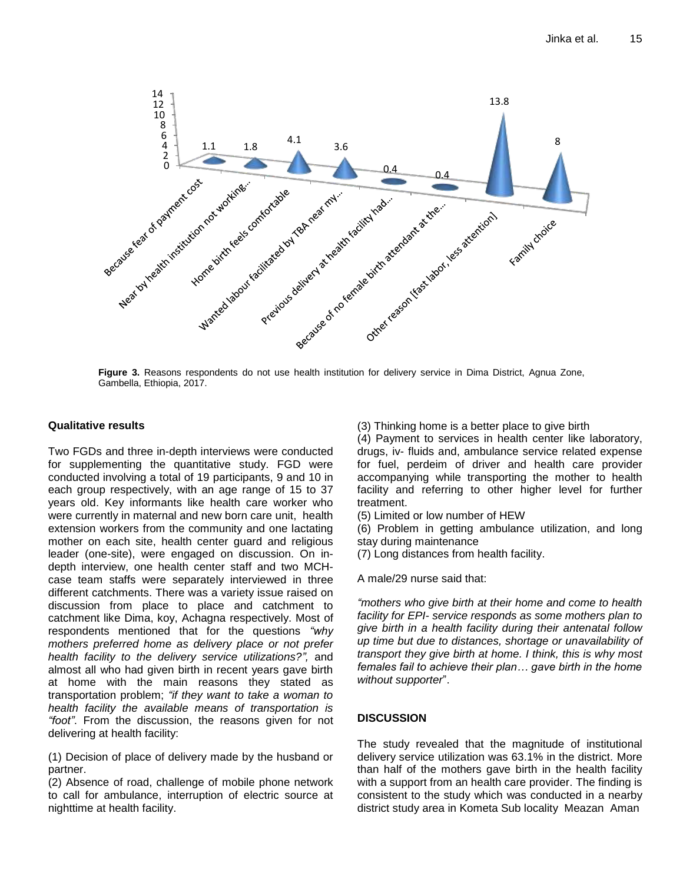

**Figure 3.** Reasons respondents do not use health institution for delivery service in Dima District, Agnua Zone, Gambella, Ethiopia, 2017.

## **Qualitative results**

Two FGDs and three in-depth interviews were conducted for supplementing the quantitative study. FGD were conducted involving a total of 19 participants, 9 and 10 in each group respectively, with an age range of 15 to 37 years old. Key informants like health care worker who were currently in maternal and new born care unit, health extension workers from the community and one lactating mother on each site, health center guard and religious leader (one-site), were engaged on discussion. On indepth interview, one health center staff and two MCHcase team staffs were separately interviewed in three different catchments. There was a variety issue raised on discussion from place to place and catchment to catchment like Dima, koy, Achagna respectively. Most of respondents mentioned that for the questions *"why mothers preferred home as delivery place or not prefer health facility to the delivery service utilizations?",* and almost all who had given birth in recent years gave birth at home with the main reasons they stated as transportation problem; *"if they want to take a woman to health facility the available means of transportation is "foot"*. From the discussion, the reasons given for not delivering at health facility:

(1) Decision of place of delivery made by the husband or partner.

(2) Absence of road, challenge of mobile phone network to call for ambulance, interruption of electric source at nighttime at health facility.

(3) Thinking home is a better place to give birth

(4) Payment to services in health center like laboratory, drugs, iv- fluids and, ambulance service related expense for fuel, perdeim of driver and health care provider accompanying while transporting the mother to health facility and referring to other higher level for further treatment.

(5) Limited or low number of HEW

(6) Problem in getting ambulance utilization, and long stay during maintenance

(7) Long distances from health facility.

A male/29 nurse said that:

*"mothers who give birth at their home and come to health facility for EPI- service responds as some mothers plan to give birth in a health facility during their antenatal follow up time but due to distances, shortage or unavailability of transport they give birth at home. I think, this is why most females fail to achieve their plan… gave birth in the home without supporter*".

## **DISCUSSION**

The study revealed that the magnitude of institutional delivery service utilization was 63.1% in the district. More than half of the mothers gave birth in the health facility with a support from an health care provider. The finding is consistent to the study which was conducted in a nearby district study area in Kometa Sub locality Meazan Aman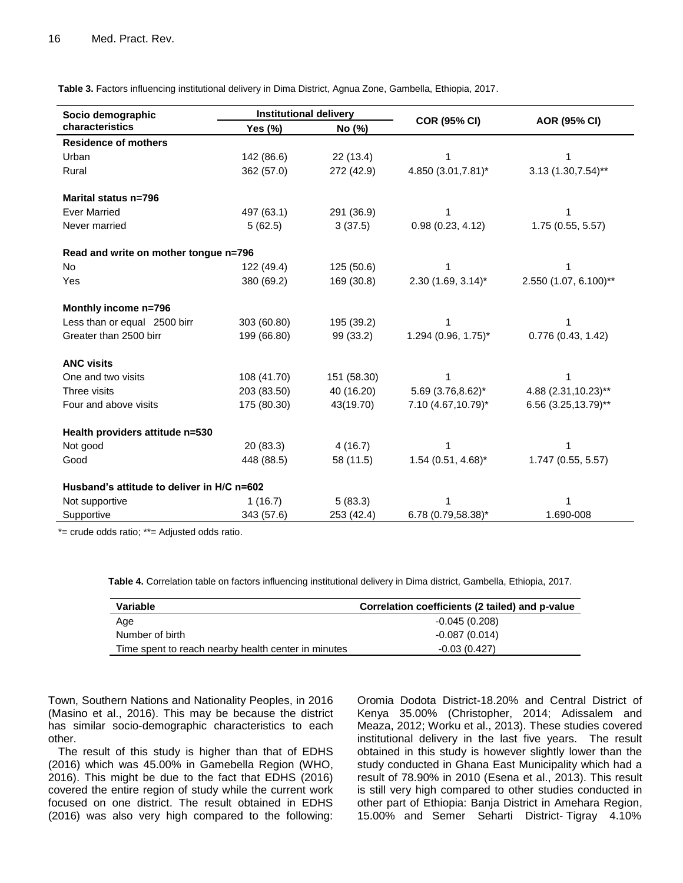**Table 3.** Factors influencing institutional delivery in Dima District, Agnua Zone, Gambella, Ethiopia, 2017.

| Socio demographic                          | <b>Institutional delivery</b> |             |                      |                       |  |
|--------------------------------------------|-------------------------------|-------------|----------------------|-----------------------|--|
| characteristics                            | Yes (%)                       | No (%)      | <b>COR (95% CI)</b>  | AOR (95% CI)          |  |
| <b>Residence of mothers</b>                |                               |             |                      |                       |  |
| Urban                                      | 142 (86.6)                    | 22 (13.4)   | 1                    | 1                     |  |
| Rural                                      | 362 (57.0)                    | 272 (42.9)  | 4.850 (3.01,7.81)*   | $3.13(1.30,7.54)$ **  |  |
| Marital status n=796                       |                               |             |                      |                       |  |
| <b>Ever Married</b>                        | 497 (63.1)                    | 291 (36.9)  |                      |                       |  |
| Never married                              | 5(62.5)                       | 3(37.5)     | 0.98(0.23, 4.12)     | 1.75(0.55, 5.57)      |  |
| Read and write on mother tongue n=796      |                               |             |                      |                       |  |
| <b>No</b>                                  | 122 (49.4)                    | 125 (50.6)  |                      |                       |  |
| Yes                                        | 380 (69.2)                    | 169 (30.8)  | $2.30$ (1.69, 3.14)* | 2.550 (1.07, 6.100)** |  |
| Monthly income n=796                       |                               |             |                      |                       |  |
| Less than or equal 2500 birr               | 303 (60.80)                   | 195 (39.2)  |                      |                       |  |
| Greater than 2500 birr                     | 199 (66.80)                   | 99 (33.2)   | 1.294 (0.96, 1.75)*  | 0.776 (0.43, 1.42)    |  |
| <b>ANC visits</b>                          |                               |             |                      |                       |  |
| One and two visits                         | 108 (41.70)                   | 151 (58.30) |                      | 1                     |  |
| Three visits                               | 203 (83.50)                   | 40 (16.20)  | 5.69 (3.76,8.62)*    | 4.88 (2.31, 10.23)**  |  |
| Four and above visits                      | 175 (80.30)                   | 43(19.70)   | 7.10 (4.67,10.79)*   | 6.56 (3.25,13.79)**   |  |
| Health providers attitude n=530            |                               |             |                      |                       |  |
| Not good                                   | 20(83.3)                      | 4(16.7)     |                      |                       |  |
| Good                                       | 448 (88.5)                    | 58 (11.5)   | $1.54$ (0.51, 4.68)* | 1.747 (0.55, 5.57)    |  |
| Husband's attitude to deliver in H/C n=602 |                               |             |                      |                       |  |
| Not supportive                             | 1(16.7)                       | 5(83.3)     |                      | 1                     |  |
| Supportive                                 | 343 (57.6)                    | 253 (42.4)  | 6.78 (0.79,58.38)*   | 1.690-008             |  |

\*= crude odds ratio; \*\*= Adjusted odds ratio.

**Table 4.** Correlation table on factors influencing institutional delivery in Dima district, Gambella, Ethiopia, 2017.

| Variable                                            | Correlation coefficients (2 tailed) and p-value |
|-----------------------------------------------------|-------------------------------------------------|
| Age                                                 | $-0.045(0.208)$                                 |
| Number of birth                                     | $-0.087(0.014)$                                 |
| Time spent to reach nearby health center in minutes | $-0.03(0.427)$                                  |

Town, Southern Nations and Nationality Peoples, in 2016 (Masino et al., 2016). This may be because the district has similar socio-demographic characteristics to each other.

The result of this study is higher than that of EDHS (2016) which was 45.00% in Gamebella Region (WHO, 2016). This might be due to the fact that EDHS (2016) covered the entire region of study while the current work focused on one district. The result obtained in EDHS (2016) was also very high compared to the following:

Oromia Dodota District-18.20% and Central District of Kenya 35.00% (Christopher, 2014; Adissalem and Meaza, 2012; Worku et al., 2013). These studies covered institutional delivery in the last five years. The result obtained in this study is however slightly lower than the study conducted in Ghana East Municipality which had a result of 78.90% in 2010 (Esena et al., 2013). This result is still very high compared to other studies conducted in other part of Ethiopia: Banja District in Amehara Region, 15.00% and Semer Seharti District- Tigray 4.10%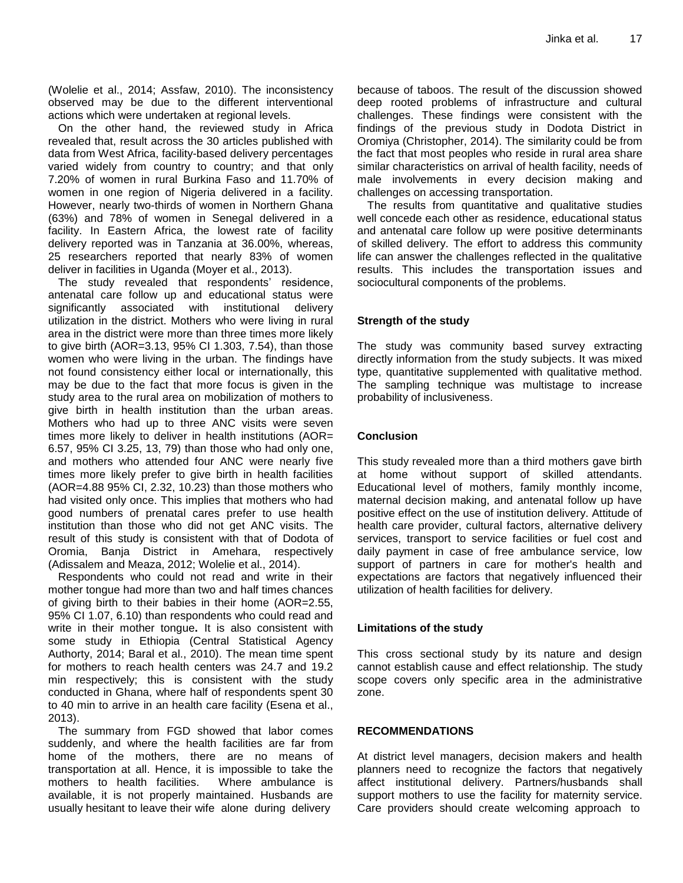(Wolelie et al., 2014; Assfaw, 2010). The inconsistency observed may be due to the different interventional actions which were undertaken at regional levels.

On the other hand, the reviewed study in Africa revealed that, result across the 30 articles published with data from West Africa, facility-based delivery percentages varied widely from country to country; and that only 7.20% of women in rural Burkina Faso and 11.70% of women in one region of Nigeria delivered in a facility. However, nearly two-thirds of women in Northern Ghana (63%) and 78% of women in Senegal delivered in a facility. In Eastern Africa, the lowest rate of facility delivery reported was in Tanzania at 36.00%, whereas, 25 researchers reported that nearly 83% of women deliver in facilities in Uganda (Moyer et al., 2013).

The study revealed that respondents' residence, antenatal care follow up and educational status were significantly associated with institutional delivery utilization in the district. Mothers who were living in rural area in the district were more than three times more likely to give birth (AOR=3.13, 95% CI 1.303, 7.54), than those women who were living in the urban. The findings have not found consistency either local or internationally, this may be due to the fact that more focus is given in the study area to the rural area on mobilization of mothers to give birth in health institution than the urban areas. Mothers who had up to three ANC visits were seven times more likely to deliver in health institutions (AOR= 6.57, 95% CI 3.25, 13, 79) than those who had only one, and mothers who attended four ANC were nearly five times more likely prefer to give birth in health facilities (AOR=4.88 95% CI, 2.32, 10.23) than those mothers who had visited only once. This implies that mothers who had good numbers of prenatal cares prefer to use health institution than those who did not get ANC visits. The result of this study is consistent with that of Dodota of Oromia, Banja District in Amehara, respectively (Adissalem and Meaza, 2012; Wolelie et al., 2014).

Respondents who could not read and write in their mother tongue had more than two and half times chances of giving birth to their babies in their home (AOR=2.55, 95% CI 1.07, 6.10) than respondents who could read and write in their mother tongue**.** It is also consistent with some study in Ethiopia (Central Statistical Agency Authorty, 2014; Baral et al., 2010). The mean time spent for mothers to reach health centers was 24.7 and 19.2 min respectively; this is consistent with the study conducted in Ghana, where half of respondents spent 30 to 40 min to arrive in an health care facility (Esena et al., 2013).

The summary from FGD showed that labor comes suddenly, and where the health facilities are far from home of the mothers, there are no means of transportation at all. Hence, it is impossible to take the mothers to health facilities. Where ambulance is available, it is not properly maintained. Husbands are usually hesitant to leave their wife alone during delivery

because of taboos. The result of the discussion showed deep rooted problems of infrastructure and cultural challenges. These findings were consistent with the findings of the previous study in Dodota District in Oromiya (Christopher, 2014). The similarity could be from the fact that most peoples who reside in rural area share similar characteristics on arrival of health facility, needs of male involvements in every decision making and challenges on accessing transportation.

The results from quantitative and qualitative studies well concede each other as residence, educational status and antenatal care follow up were positive determinants of skilled delivery. The effort to address this community life can answer the challenges reflected in the qualitative results. This includes the transportation issues and sociocultural components of the problems.

## **Strength of the study**

The study was community based survey extracting directly information from the study subjects. It was mixed type, quantitative supplemented with qualitative method. The sampling technique was multistage to increase probability of inclusiveness.

## **Conclusion**

This study revealed more than a third mothers gave birth at home without support of skilled attendants. Educational level of mothers, family monthly income, maternal decision making, and antenatal follow up have positive effect on the use of institution delivery. Attitude of health care provider, cultural factors, alternative delivery services, transport to service facilities or fuel cost and daily payment in case of free ambulance service, low support of partners in care for mother's health and expectations are factors that negatively influenced their utilization of health facilities for delivery.

## **Limitations of the study**

This cross sectional study by its nature and design cannot establish cause and effect relationship. The study scope covers only specific area in the administrative zone.

## **RECOMMENDATIONS**

At district level managers, decision makers and health planners need to recognize the factors that negatively affect institutional delivery. Partners/husbands shall support mothers to use the facility for maternity service. Care providers should create welcoming approach to